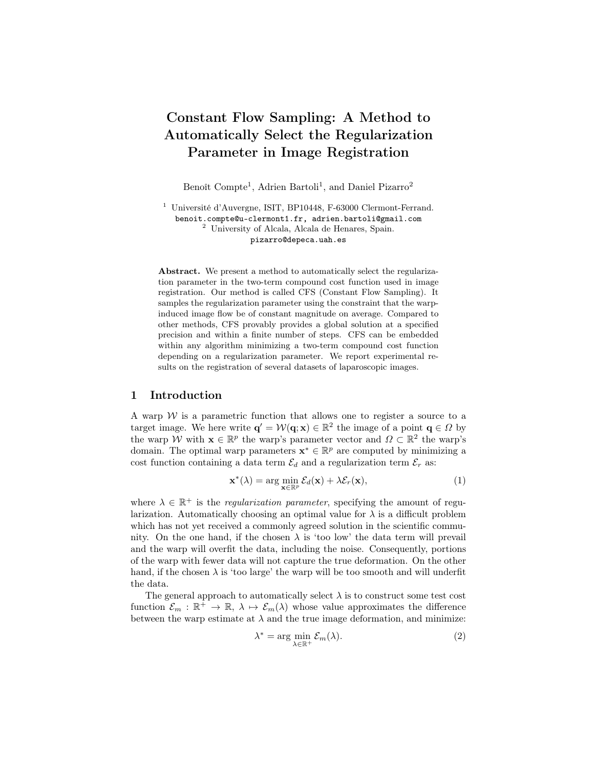# Constant Flow Sampling: A Method to Automatically Select the Regularization Parameter in Image Registration

Benoît Compte<sup>1</sup>, Adrien Bartoli<sup>1</sup>, and Daniel Pizarro<sup>2</sup>

<sup>1</sup> Université d'Auvergne, ISIT, BP10448, F-63000 Clermont-Ferrand. benoit.compte@u-clermont1.fr, adrien.bartoli@gmail.com <sup>2</sup> University of Alcala, Alcala de Henares, Spain. pizarro@depeca.uah.es

Abstract. We present a method to automatically select the regularization parameter in the two-term compound cost function used in image registration. Our method is called CFS (Constant Flow Sampling). It samples the regularization parameter using the constraint that the warpinduced image flow be of constant magnitude on average. Compared to other methods, CFS provably provides a global solution at a specified precision and within a finite number of steps. CFS can be embedded within any algorithm minimizing a two-term compound cost function depending on a regularization parameter. We report experimental results on the registration of several datasets of laparoscopic images.

# 1 Introduction

A warp  $W$  is a parametric function that allows one to register a source to a target image. We here write  $\mathbf{q}' = \mathcal{W}(\mathbf{q}; \mathbf{x}) \in \mathbb{R}^2$  the image of a point  $\mathbf{q} \in \Omega$  by the warp W with  $\mathbf{x} \in \mathbb{R}^p$  the warp's parameter vector and  $\Omega \subset \mathbb{R}^2$  the warp's domain. The optimal warp parameters  $\mathbf{x}^* \in \mathbb{R}^p$  are computed by minimizing a cost function containing a data term  $\mathcal{E}_d$  and a regularization term  $\mathcal{E}_r$  as:

$$
\mathbf{x}^*(\lambda) = \arg\min_{\mathbf{x} \in \mathbb{R}^p} \mathcal{E}_d(\mathbf{x}) + \lambda \mathcal{E}_r(\mathbf{x}),
$$
\n(1)

where  $\lambda \in \mathbb{R}^+$  is the *regularization parameter*, specifying the amount of regularization. Automatically choosing an optimal value for  $\lambda$  is a difficult problem which has not yet received a commonly agreed solution in the scientific community. On the one hand, if the chosen  $\lambda$  is 'too low' the data term will prevail and the warp will overfit the data, including the noise. Consequently, portions of the warp with fewer data will not capture the true deformation. On the other hand, if the chosen  $\lambda$  is 'too large' the warp will be too smooth and will underfit the data.

The general approach to automatically select  $\lambda$  is to construct some test cost function  $\mathcal{E}_m : \mathbb{R}^+ \to \mathbb{R}, \lambda \mapsto \mathcal{E}_m(\lambda)$  whose value approximates the difference between the warp estimate at  $\lambda$  and the true image deformation, and minimize:

λ

$$
^* = \arg\min_{\lambda \in \mathbb{R}^+} \mathcal{E}_m(\lambda). \tag{2}
$$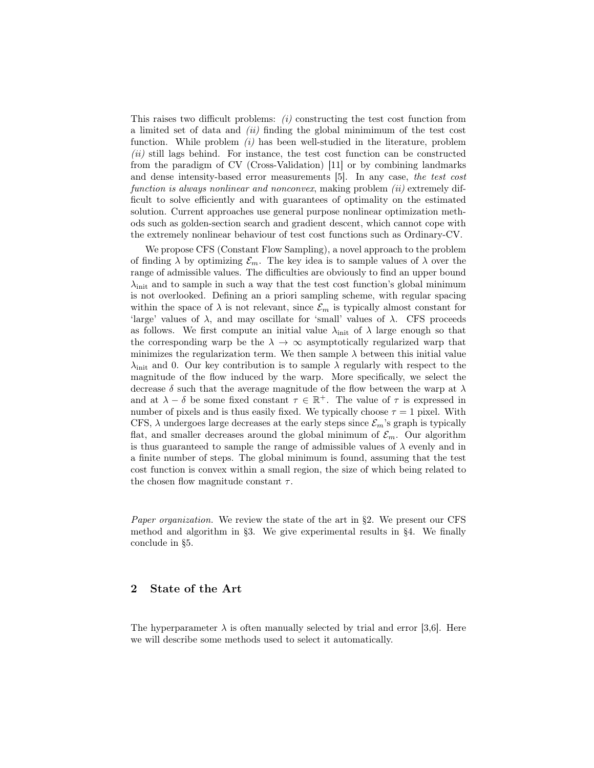This raises two difficult problems:  $(i)$  constructing the test cost function from a limited set of data and  $(ii)$  finding the global minimimum of the test cost function. While problem  $(i)$  has been well-studied in the literature, problem (ii) still lags behind. For instance, the test cost function can be constructed from the paradigm of CV (Cross-Validation) [11] or by combining landmarks and dense intensity-based error measurements [5]. In any case, the test cost function is always nonlinear and nonconvex, making problem (ii) extremely difficult to solve efficiently and with guarantees of optimality on the estimated solution. Current approaches use general purpose nonlinear optimization methods such as golden-section search and gradient descent, which cannot cope with the extremely nonlinear behaviour of test cost functions such as Ordinary-CV.

We propose CFS (Constant Flow Sampling), a novel approach to the problem of finding  $\lambda$  by optimizing  $\mathcal{E}_m$ . The key idea is to sample values of  $\lambda$  over the range of admissible values. The difficulties are obviously to find an upper bound  $\lambda_{init}$  and to sample in such a way that the test cost function's global minimum is not overlooked. Defining an a priori sampling scheme, with regular spacing within the space of  $\lambda$  is not relevant, since  $\mathcal{E}_m$  is typically almost constant for 'large' values of  $\lambda$ , and may oscillate for 'small' values of  $\lambda$ . CFS proceeds as follows. We first compute an initial value  $\lambda_{\text{init}}$  of  $\lambda$  large enough so that the corresponding warp be the  $\lambda \to \infty$  asymptotically regularized warp that minimizes the regularization term. We then sample  $\lambda$  between this initial value  $\lambda_{\text{init}}$  and 0. Our key contribution is to sample  $\lambda$  regularly with respect to the magnitude of the flow induced by the warp. More specifically, we select the decrease  $\delta$  such that the average magnitude of the flow between the warp at  $\lambda$ and at  $\lambda - \delta$  be some fixed constant  $\tau \in \mathbb{R}^+$ . The value of  $\tau$  is expressed in number of pixels and is thus easily fixed. We typically choose  $\tau = 1$  pixel. With CFS,  $\lambda$  undergoes large decreases at the early steps since  $\mathcal{E}_m$ 's graph is typically flat, and smaller decreases around the global minimum of  $\mathcal{E}_m$ . Our algorithm is thus guaranteed to sample the range of admissible values of  $\lambda$  evenly and in a finite number of steps. The global minimum is found, assuming that the test cost function is convex within a small region, the size of which being related to the chosen flow magnitude constant  $\tau$ .

Paper organization. We review the state of the art in §2. We present our CFS method and algorithm in §3. We give experimental results in §4. We finally conclude in §5.

# 2 State of the Art

The hyperparameter  $\lambda$  is often manually selected by trial and error [3,6]. Here we will describe some methods used to select it automatically.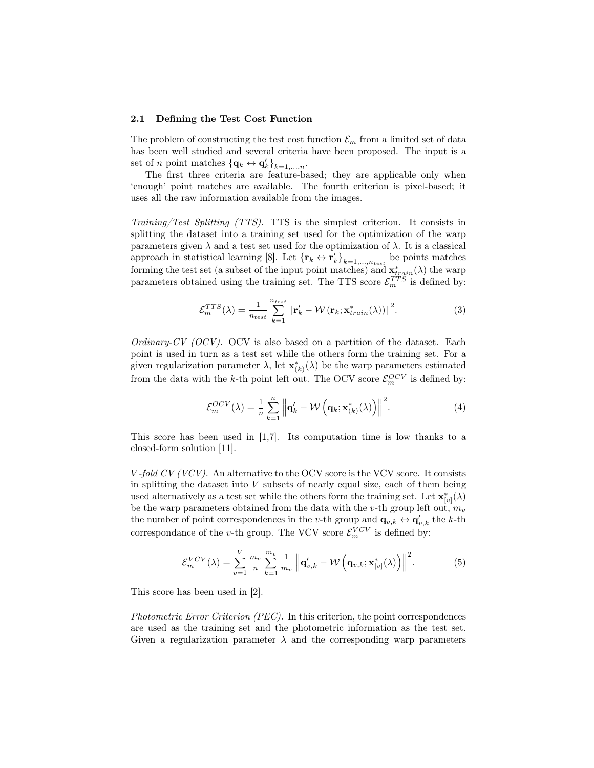#### 2.1 Defining the Test Cost Function

The problem of constructing the test cost function  $\mathcal{E}_m$  from a limited set of data has been well studied and several criteria have been proposed. The input is a set of *n* point matches  ${\{\mathbf{q}_k \leftrightarrow \mathbf{q}_k'\}_{k=1,\ldots,n}}$ .

The first three criteria are feature-based; they are applicable only when 'enough' point matches are available. The fourth criterion is pixel-based; it uses all the raw information available from the images.

Training/Test Splitting (TTS). TTS is the simplest criterion. It consists in splitting the dataset into a training set used for the optimization of the warp parameters given  $\lambda$  and a test set used for the optimization of  $\lambda$ . It is a classical approach in statistical learning [8]. Let  ${\{r_k \leftrightarrow r'_k\}}_{k=1,\dots,n_{test}}$  be points matches forming the test set (a subset of the input point matches) and  $\mathbf{x}_{train}^*(\lambda)$  the warp parameters obtained using the training set. The TTS score  $\mathcal{E}_m^{TTS}$  is defined by:

$$
\mathcal{E}_m^{TTS}(\lambda) = \frac{1}{n_{test}} \sum_{k=1}^{n_{test}} \left\| \mathbf{r}'_k - \mathcal{W}\left(\mathbf{r}_k; \mathbf{x}^*_{train}(\lambda)\right) \right\|^2.
$$
 (3)

Ordinary-CV  $(OCV)$ . OCV is also based on a partition of the dataset. Each point is used in turn as a test set while the others form the training set. For a given regularization parameter  $\lambda$ , let  $\mathbf{x}_{(k)}^*(\lambda)$  be the warp parameters estimated from the data with the k-th point left out. The OCV score  $\mathcal{E}_m^{OCV}$  is defined by:

$$
\mathcal{E}_m^{OCV}(\lambda) = \frac{1}{n} \sum_{k=1}^n \left\| \mathbf{q}'_k - \mathcal{W}\left(\mathbf{q}_k; \mathbf{x}^*_{(k)}(\lambda)\right) \right\|^2.
$$
 (4)

This score has been used in [1,7]. Its computation time is low thanks to a closed-form solution [11].

 $V$ -fold  $CV (VCV)$ . An alternative to the OCV score is the VCV score. It consists in splitting the dataset into  $V$  subsets of nearly equal size, each of them being used alternatively as a test set while the others form the training set. Let  $\mathbf{x}_{[v]}^*(\lambda)$ be the warp parameters obtained from the data with the *v*-th group left out,  $m_v$ the number of point correspondences in the v-th group and  $\mathbf{q}_{v,k} \leftrightarrow \mathbf{q}'_{v,k}$  the k-th correspondance of the *v*-th group. The VCV score  $\mathcal{E}_m^{VCV}$  is defined by:

$$
\mathcal{E}_m^{VCV}(\lambda) = \sum_{v=1}^V \frac{m_v}{n} \sum_{k=1}^{m_v} \frac{1}{m_v} \left\| \mathbf{q}'_{v,k} - \mathcal{W}\left(\mathbf{q}_{v,k}; \mathbf{x}^*_{[v]}(\lambda)\right) \right\|^2.
$$
 (5)

This score has been used in [2].

Photometric Error Criterion (PEC). In this criterion, the point correspondences are used as the training set and the photometric information as the test set. Given a regularization parameter  $\lambda$  and the corresponding warp parameters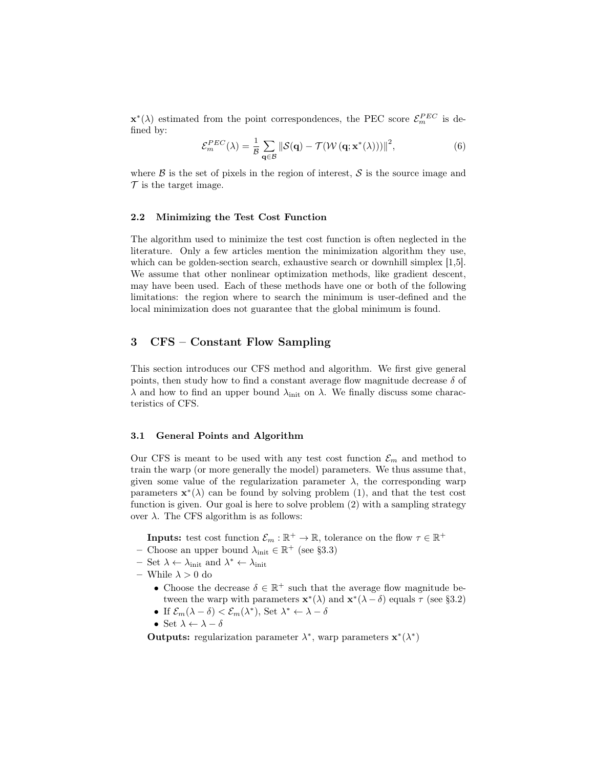$\mathbf{x}^*(\lambda)$  estimated from the point correspondences, the PEC score  $\mathcal{E}_m^{PEC}$  is defined by:

$$
\mathcal{E}_m^{PEC}(\lambda) = \frac{1}{\mathcal{B}} \sum_{\mathbf{q} \in \mathcal{B}} \left\| \mathcal{S}(\mathbf{q}) - \mathcal{T}(\mathcal{W}\left(\mathbf{q}; \mathbf{x}^*(\lambda))\right) \right\|^2, \tag{6}
$$

where  $\beta$  is the set of pixels in the region of interest,  $\delta$  is the source image and  $\mathcal T$  is the target image.

## 2.2 Minimizing the Test Cost Function

The algorithm used to minimize the test cost function is often neglected in the literature. Only a few articles mention the minimization algorithm they use, which can be golden-section search, exhaustive search or downhill simplex [1,5]. We assume that other nonlinear optimization methods, like gradient descent, may have been used. Each of these methods have one or both of the following limitations: the region where to search the minimum is user-defined and the local minimization does not guarantee that the global minimum is found.

# 3 CFS – Constant Flow Sampling

This section introduces our CFS method and algorithm. We first give general points, then study how to find a constant average flow magnitude decrease  $\delta$  of  $\lambda$  and how to find an upper bound  $\lambda_{\text{init}}$  on  $\lambda$ . We finally discuss some characteristics of CFS.

## 3.1 General Points and Algorithm

Our CFS is meant to be used with any test cost function  $\mathcal{E}_m$  and method to train the warp (or more generally the model) parameters. We thus assume that, given some value of the regularization parameter  $\lambda$ , the corresponding warp parameters  $\mathbf{x}^*(\lambda)$  can be found by solving problem (1), and that the test cost function is given. Our goal is here to solve problem (2) with a sampling strategy over  $\lambda$ . The CFS algorithm is as follows:

**Inputs:** test cost function  $\mathcal{E}_m : \mathbb{R}^+ \to \mathbb{R}$ , tolerance on the flow  $\tau \in \mathbb{R}^+$ 

- Choose an upper bound  $\lambda_{\text{init}} \in \mathbb{R}^+$  (see §3.3)
- $-$  Set  $\lambda \leftarrow \lambda_{\text{init}}$  and  $\lambda^* \leftarrow \lambda_{\text{init}}$
- While  $\lambda > 0$  do
	- Choose the decrease  $\delta \in \mathbb{R}^+$  such that the average flow magnitude between the warp with parameters  $\mathbf{x}^*(\lambda)$  and  $\mathbf{x}^*(\lambda - \delta)$  equals  $\tau$  (see §3.2)
	- If  $\mathcal{E}_m(\lambda \delta) < \mathcal{E}_m(\lambda^*),$  Set  $\lambda^* \leftarrow \lambda \delta$
	- Set  $\lambda \leftarrow \lambda \delta$

Outputs: regularization parameter  $\lambda^*$ , warp parameters  $\mathbf{x}^*(\lambda^*)$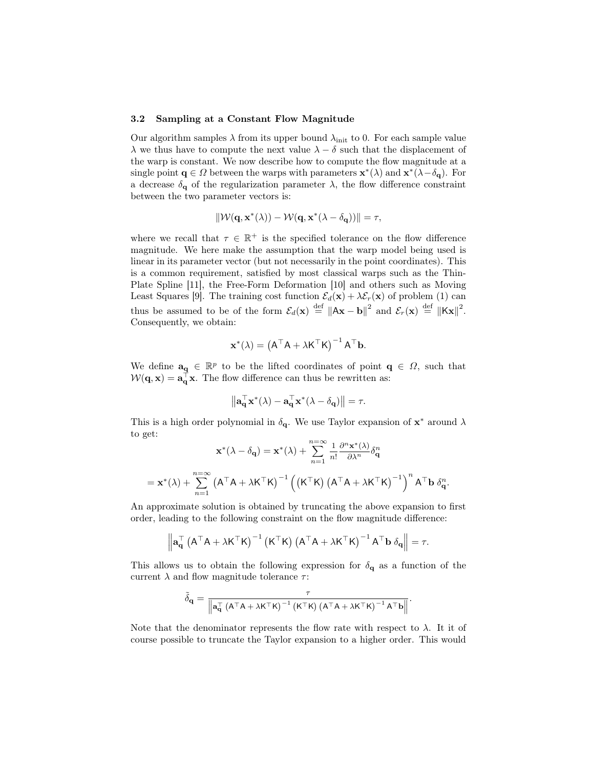## 3.2 Sampling at a Constant Flow Magnitude

Our algorithm samples  $\lambda$  from its upper bound  $\lambda_{init}$  to 0. For each sample value  $\lambda$  we thus have to compute the next value  $\lambda - \delta$  such that the displacement of the warp is constant. We now describe how to compute the flow magnitude at a single point  $\mathbf{q} \in \Omega$  between the warps with parameters  $\mathbf{x}^*(\lambda)$  and  $\mathbf{x}^*(\lambda - \delta_{\mathbf{q}})$ . For a decrease  $\delta_{\mathbf{q}}$  of the regularization parameter  $\lambda$ , the flow difference constraint between the two parameter vectors is:

$$
\|\mathcal{W}(\mathbf{q}, \mathbf{x}^*(\lambda)) - \mathcal{W}(\mathbf{q}, \mathbf{x}^*(\lambda - \delta_{\mathbf{q}}))\| = \tau,
$$

where we recall that  $\tau \in \mathbb{R}^+$  is the specified tolerance on the flow difference magnitude. We here make the assumption that the warp model being used is linear in its parameter vector (but not necessarily in the point coordinates). This is a common requirement, satisfied by most classical warps such as the Thin-Plate Spline [11], the Free-Form Deformation [10] and others such as Moving Least Squares [9]. The training cost function  $\mathcal{E}_d(\mathbf{x}) + \lambda \mathcal{E}_r(\mathbf{x})$  of problem (1) can thus be assumed to be of the form  $\mathcal{E}_d(\mathbf{x}) \stackrel{\text{def}}{=} ||A\mathbf{x} - \mathbf{b}||^2$  and  $\mathcal{E}_r(\mathbf{x}) \stackrel{\text{def}}{=} ||K\mathbf{x}||^2$ . Consequently, we obtain:

$$
\mathbf{x}^*(\lambda) = (A^{\top}A + \lambda K^{\top}K)^{-1}A^{\top}\mathbf{b}.
$$

We define  $\mathbf{a}_{q} \in \mathbb{R}^{p}$  to be the lifted coordinates of point  $q \in \Omega$ , such that  $W(\mathbf{q}, \mathbf{x}) = \mathbf{a}_{\mathbf{q}}^{\top} \mathbf{x}$ . The flow difference can thus be rewritten as:

$$
\left\| \mathbf{a}_{\mathbf{q}}^{\top} \mathbf{x}^*(\lambda) - \mathbf{a}_{\mathbf{q}}^{\top} \mathbf{x}^*(\lambda - \delta_{\mathbf{q}}) \right\| = \tau.
$$

This is a high order polynomial in  $\delta_{\mathbf{q}}$ . We use Taylor expansion of  $\mathbf{x}^*$  around  $\lambda$ to get:

$$
\mathbf{x}^*(\lambda - \delta_{\mathbf{q}}) = \mathbf{x}^*(\lambda) + \sum_{n=1}^{n=\infty} \frac{1}{n!} \frac{\partial^n \mathbf{x}^*(\lambda)}{\partial \lambda^n} \delta_{\mathbf{q}}^n
$$

$$
= \mathbf{x}^*(\lambda) + \sum_{n=1}^{n=\infty} (\mathbf{A}^\top \mathbf{A} + \lambda \mathbf{K}^\top \mathbf{K})^{-1} ((\mathbf{K}^\top \mathbf{K}) (\mathbf{A}^\top \mathbf{A} + \lambda \mathbf{K}^\top \mathbf{K})^{-1})^n \mathbf{A}^\top \mathbf{b} \delta_{\mathbf{q}}^n.
$$

An approximate solution is obtained by truncating the above expansion to first order, leading to the following constraint on the flow magnitude difference:

$$
\left\| \mathbf{a}_{\mathbf{q}}^{\top} \left( A^{\top} A + \lambda K^{\top} K \right)^{-1} \left( K^{\top} K \right) \left( A^{\top} A + \lambda K^{\top} K \right)^{-1} A^{\top} \mathbf{b} \; \delta_{\mathbf{q}} \right\| = \tau.
$$

This allows us to obtain the following expression for  $\delta_{q}$  as a function of the current  $\lambda$  and flow magnitude tolerance  $\tau$ :

$$
\tilde{\delta}_{\mathbf{q}} = \frac{\tau}{\left\| \mathbf{a}_{\mathbf{q}}^\top \left( A^\top A + \lambda K^\top K \right)^{-1} \left( K^\top K \right) \left( A^\top A + \lambda K^\top K \right)^{-1} A^\top \mathbf{b} \right\|}.
$$

Note that the denominator represents the flow rate with respect to  $\lambda$ . It it of course possible to truncate the Taylor expansion to a higher order. This would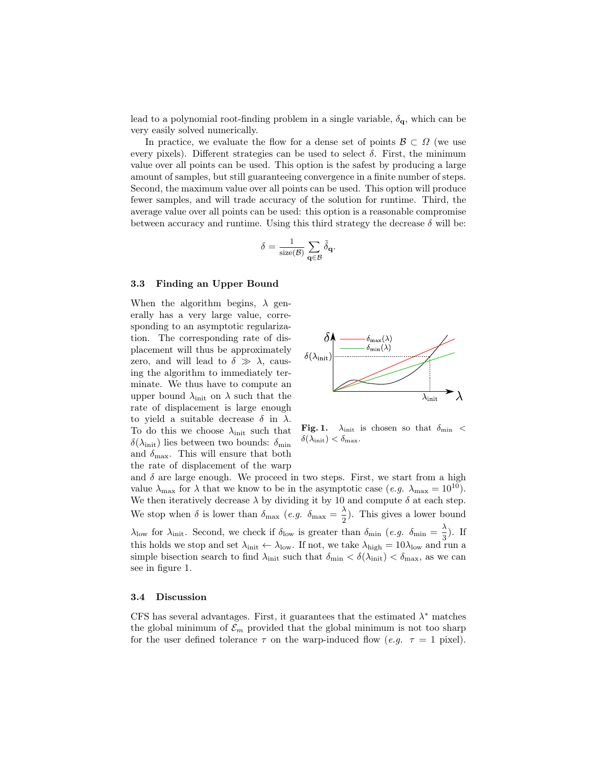lead to a polynomial root-finding problem in a single variable,  $\delta_{q}$ , which can be very easily solved numerically.

In practice, we evaluate the flow for a dense set of points  $\mathcal{B} \subset \Omega$  (we use every pixels). Different strategies can be used to select  $\delta$ . First, the minimum value over all points can be used. This option is the safest by producing a large amount of samples, but still guaranteeing convergence in a finite number of steps. Second, the maximum value over all points can be used. This option will produce fewer samples, and will trade accuracy of the solution for runtime. Third, the average value over all points can be used: this option is a reasonable compromise between accuracy and runtime. Using this third strategy the decrease  $\delta$  will be:

$$
\delta = \frac{1}{\mathrm{size}(\mathcal{B})}\sum_{\mathbf{q}\in \mathcal{B}}\tilde{\delta}_\mathbf{q}.
$$

#### 3.3 Finding an Upper Bound

When the algorithm begins,  $\lambda$  generally has a very large value, corresponding to an asymptotic regularization. The corresponding rate of displacement will thus be approximately zero, and will lead to  $\delta \gg \lambda$ , causing the algorithm to immediately terminate. We thus have to compute an upper bound  $\lambda_{\text{init}}$  on  $\lambda$  such that the rate of displacement is large enough to yield a suitable decrease  $\delta$  in  $\lambda$ . To do this we choose  $\lambda_{init}$  such that  $\delta(\lambda_{\text{init}})$  lies between two bounds:  $\delta_{\text{min}}$ and  $\delta_{\text{max}}$ . This will ensure that both the rate of displacement of the warp



Fig. 1.  $\lambda_{\text{init}}$  is chosen so that  $\delta_{\text{min}}$  <  $\delta(\lambda_{\text{init}}) < \delta_{\text{max}}$ .

and  $\delta$  are large enough. We proceed in two steps. First, we start from a high value  $\lambda_{\text{max}}$  for  $\lambda$  that we know to be in the asymptotic case (*e.g.*  $\lambda_{\text{max}} = 10^{10}$ ). We then iteratively decrease  $\lambda$  by dividing it by 10 and compute  $\delta$  at each step. We stop when  $\delta$  is lower than  $\delta_{\text{max}}$  (e.g.  $\delta_{\text{max}} = \frac{\lambda}{2}$ )  $\frac{\pi}{2}$ ). This gives a lower bound  $\lambda_{\text{low}}$  for  $\lambda_{\text{init}}$ . Second, we check if  $\delta_{\text{low}}$  is greater than  $\delta_{\text{min}}$  (e.g.  $\delta_{\text{min}} = \frac{\lambda}{2}$ )  $\frac{1}{3}$ ). If this holds we stop and set  $\lambda_{init} \leftarrow \lambda_{low}$ . If not, we take  $\lambda_{high} = 10\lambda_{low}$  and run a simple bisection search to find  $\lambda_{\text{init}}$  such that  $\delta_{\text{min}} < \delta(\lambda_{\text{init}}) < \delta_{\text{max}}$ , as we can see in figure 1.

#### 3.4 Discussion

CFS has several advantages. First, it guarantees that the estimated  $\lambda^*$  matches the global minimum of  $\mathcal{E}_m$  provided that the global minimum is not too sharp for the user defined tolerance  $\tau$  on the warp-induced flow (e.g.  $\tau = 1$  pixel).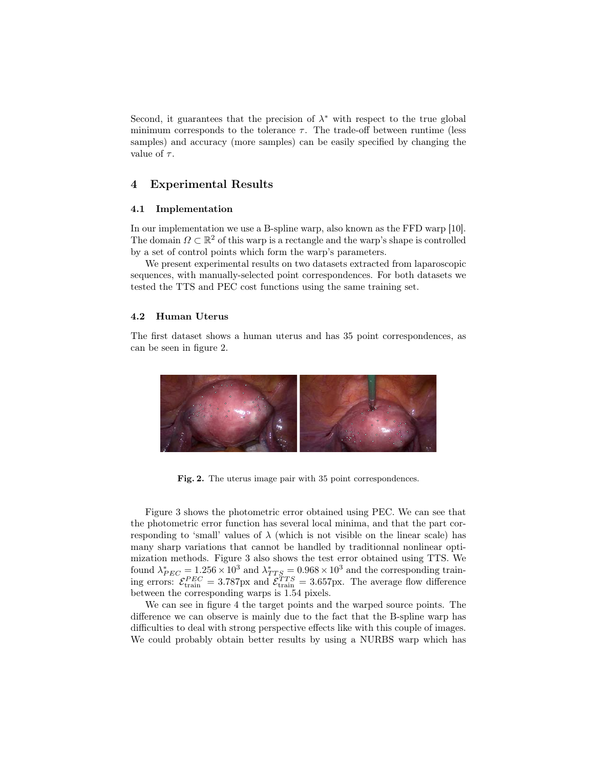Second, it guarantees that the precision of  $\lambda^*$  with respect to the true global minimum corresponds to the tolerance  $\tau$ . The trade-off between runtime (less samples) and accuracy (more samples) can be easily specified by changing the value of  $\tau$ .

# 4 Experimental Results

#### 4.1 Implementation

In our implementation we use a B-spline warp, also known as the FFD warp [10]. The domain  $\Omega \subset \mathbb{R}^2$  of this warp is a rectangle and the warp's shape is controlled by a set of control points which form the warp's parameters.

We present experimental results on two datasets extracted from laparoscopic sequences, with manually-selected point correspondences. For both datasets we tested the TTS and PEC cost functions using the same training set.

## 4.2 Human Uterus

The first dataset shows a human uterus and has 35 point correspondences, as can be seen in figure 2.



Fig. 2. The uterus image pair with 35 point correspondences.

Figure 3 shows the photometric error obtained using PEC. We can see that the photometric error function has several local minima, and that the part corresponding to 'small' values of  $\lambda$  (which is not visible on the linear scale) has many sharp variations that cannot be handled by traditionnal nonlinear optimization methods. Figure 3 also shows the test error obtained using TTS. We found  $\lambda_{PEC}^* = 1.256 \times 10^3$  and  $\lambda_{TTS}^* = 0.968 \times 10^3$  and the corresponding training errors:  $\mathcal{E}^{PEC}_{\text{train}} = 3.787 \text{px}$  and  $\mathcal{E}^{TTS}_{\text{train}} = 3.657 \text{px}$ . The average flow difference between the corresponding warps is 1.54 pixels.

We can see in figure 4 the target points and the warped source points. The difference we can observe is mainly due to the fact that the B-spline warp has difficulties to deal with strong perspective effects like with this couple of images. We could probably obtain better results by using a NURBS warp which has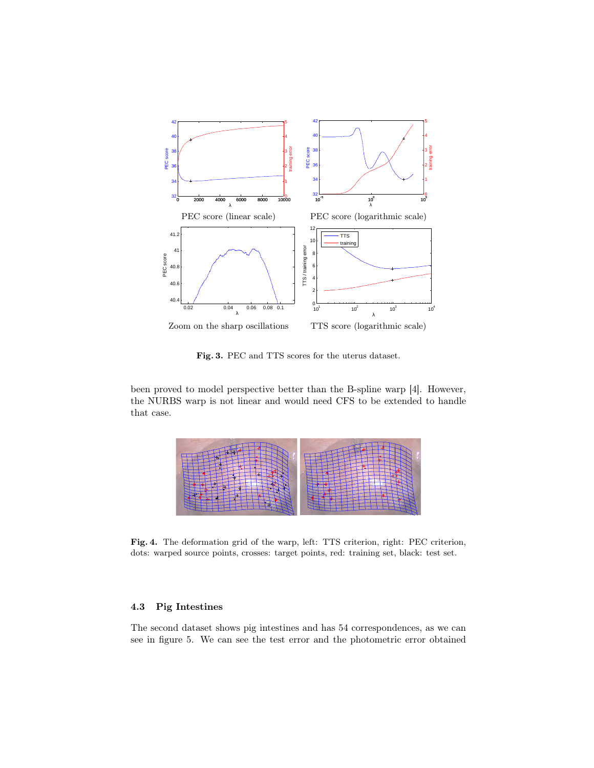

Fig. 3. PEC and TTS scores for the uterus dataset.

been proved to model perspective better than the B-spline warp [4]. However, the NURBS warp is not linear and would need CFS to be extended to handle that case.



Fig. 4. The deformation grid of the warp, left: TTS criterion, right: PEC criterion, dots: warped source points, crosses: target points, red: training set, black: test set.

# 4.3 Pig Intestines

The second dataset shows pig intestines and has 54 correspondences, as we can see in figure 5. We can see the test error and the photometric error obtained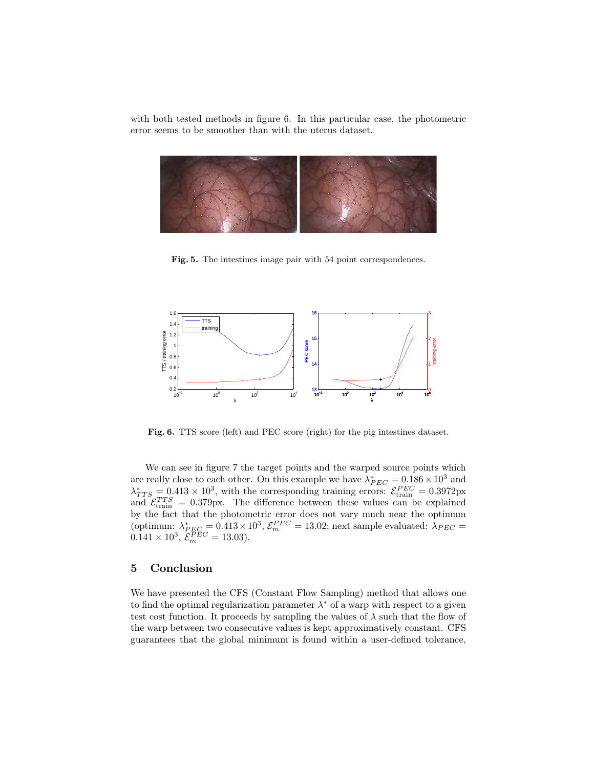with both tested methods in figure 6. In this particular case, the photometric error seems to be smoother than with the uterus dataset.



Fig. 5. The intestines image pair with 54 point correspondences.



Fig. 6. TTS score (left) and PEC score (right) for the pig intestines dataset.

We can see in figure 7 the target points and the warped source points which are really close to each other. On this example we have  $\lambda_{PEC}^* = 0.186 \times 10^3$  and  $\lambda_{TTS}^* = 0.413 \times 10^3$ , with the corresponding training errors:  $\mathcal{E}_{\text{train}}^{PEC} = 0.3972 \text{px}$ and  $\mathcal{E}_{\text{train}}^{TTS} = 0.379 \text{px}$ . The difference between these values can be explained by the fact that the photometric error does not vary much near the optimum (optimum:  $\lambda_{PEC}^* = 0.413 \times 10^3$ ,  $\mathcal{E}_m^{PEC} = 13.02$ ; next sample evaluated:  $\lambda_{PEC} =$  $0.141 \times 10^3$ ,  $\mathcal{E}_m^{PEC} = 13.03$ ).

# 5 Conclusion

We have presented the CFS (Constant Flow Sampling) method that allows one to find the optimal regularization parameter  $\lambda^*$  of a warp with respect to a given test cost function. It proceeds by sampling the values of  $\lambda$  such that the flow of the warp between two consecutive values is kept approximatively constant. CFS guarantees that the global minimum is found within a user-defined tolerance,